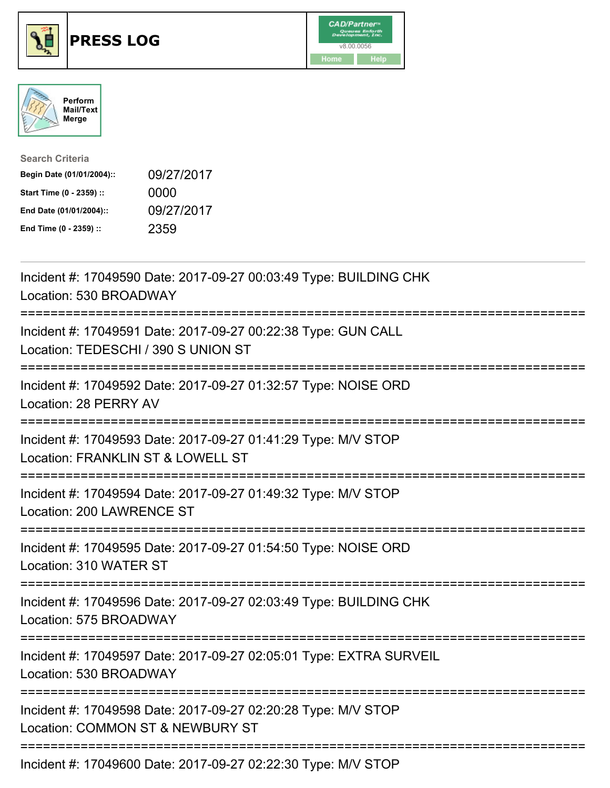

## **PRESS LOG** v8.00.0056





| <b>Search Criteria</b>    |            |
|---------------------------|------------|
| Begin Date (01/01/2004):: | 09/27/2017 |
| Start Time (0 - 2359) ::  | 0000       |
| End Date (01/01/2004)::   | 09/27/2017 |
| End Time (0 - 2359) ::    | 2359       |

Incident #: 17049590 Date: 2017-09-27 00:03:49 Type: BUILDING CHK Location: 530 BROADWAY =========================================================================== Incident #: 17049591 Date: 2017-09-27 00:22:38 Type: GUN CALL Location: TEDESCHI / 390 S UNION ST =========================================================================== Incident #: 17049592 Date: 2017-09-27 01:32:57 Type: NOISE ORD Location: 28 PERRY AV =========================================================================== Incident #: 17049593 Date: 2017-09-27 01:41:29 Type: M/V STOP Location: FRANKLIN ST & LOWELL ST =========================================================================== Incident #: 17049594 Date: 2017-09-27 01:49:32 Type: M/V STOP Location: 200 LAWRENCE ST =========================================================================== Incident #: 17049595 Date: 2017-09-27 01:54:50 Type: NOISE ORD Location: 310 WATER ST =========================================================================== Incident #: 17049596 Date: 2017-09-27 02:03:49 Type: BUILDING CHK Location: 575 BROADWAY =========================================================================== Incident #: 17049597 Date: 2017-09-27 02:05:01 Type: EXTRA SURVEIL Location: 530 BROADWAY =========================================================================== Incident #: 17049598 Date: 2017-09-27 02:20:28 Type: M/V STOP Location: COMMON ST & NEWBURY ST ===========================================================================

Incident #: 17049600 Date: 2017-09-27 02:22:30 Type: M/V STOP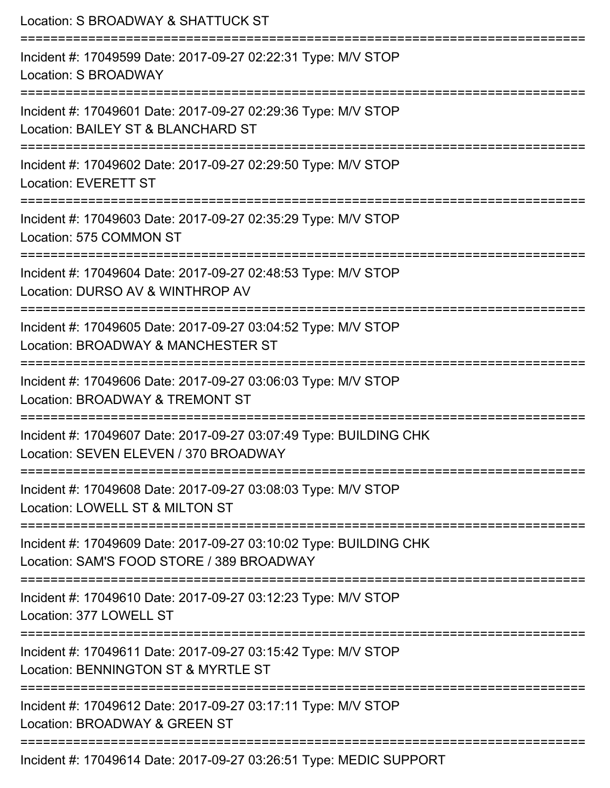| Location: S BROADWAY & SHATTUCK ST                                                                                                        |
|-------------------------------------------------------------------------------------------------------------------------------------------|
| Incident #: 17049599 Date: 2017-09-27 02:22:31 Type: M/V STOP<br>Location: S BROADWAY                                                     |
| :=================================<br>Incident #: 17049601 Date: 2017-09-27 02:29:36 Type: M/V STOP<br>Location: BAILEY ST & BLANCHARD ST |
| Incident #: 17049602 Date: 2017-09-27 02:29:50 Type: M/V STOP<br><b>Location: EVERETT ST</b>                                              |
| Incident #: 17049603 Date: 2017-09-27 02:35:29 Type: M/V STOP<br>Location: 575 COMMON ST                                                  |
| Incident #: 17049604 Date: 2017-09-27 02:48:53 Type: M/V STOP<br>Location: DURSO AV & WINTHROP AV                                         |
| Incident #: 17049605 Date: 2017-09-27 03:04:52 Type: M/V STOP<br>Location: BROADWAY & MANCHESTER ST                                       |
| Incident #: 17049606 Date: 2017-09-27 03:06:03 Type: M/V STOP<br>Location: BROADWAY & TREMONT ST                                          |
| Incident #: 17049607 Date: 2017-09-27 03:07:49 Type: BUILDING CHK<br>Location: SEVEN ELEVEN / 370 BROADWAY                                |
| Incident #: 17049608 Date: 2017-09-27 03:08:03 Type: M/V STOP<br>Location: LOWELL ST & MILTON ST                                          |
| Incident #: 17049609 Date: 2017-09-27 03:10:02 Type: BUILDING CHK<br>Location: SAM'S FOOD STORE / 389 BROADWAY                            |
| Incident #: 17049610 Date: 2017-09-27 03:12:23 Type: M/V STOP<br>Location: 377 LOWELL ST                                                  |
| Incident #: 17049611 Date: 2017-09-27 03:15:42 Type: M/V STOP<br>Location: BENNINGTON ST & MYRTLE ST                                      |
| Incident #: 17049612 Date: 2017-09-27 03:17:11 Type: M/V STOP<br>Location: BROADWAY & GREEN ST                                            |
| Incident #: 17049614 Date: 2017-09-27 03:26:51 Type: MEDIC SUPPORT                                                                        |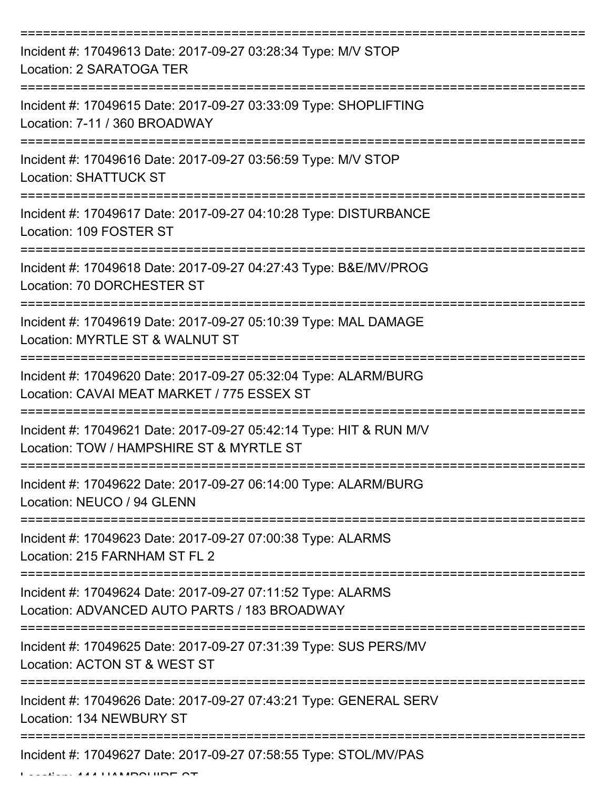| Incident #: 17049613 Date: 2017-09-27 03:28:34 Type: M/V STOP<br>Location: 2 SARATOGA TER                      |
|----------------------------------------------------------------------------------------------------------------|
| Incident #: 17049615 Date: 2017-09-27 03:33:09 Type: SHOPLIFTING<br>Location: 7-11 / 360 BROADWAY              |
| Incident #: 17049616 Date: 2017-09-27 03:56:59 Type: M/V STOP<br><b>Location: SHATTUCK ST</b>                  |
| Incident #: 17049617 Date: 2017-09-27 04:10:28 Type: DISTURBANCE<br>Location: 109 FOSTER ST                    |
| Incident #: 17049618 Date: 2017-09-27 04:27:43 Type: B&E/MV/PROG<br>Location: 70 DORCHESTER ST                 |
| Incident #: 17049619 Date: 2017-09-27 05:10:39 Type: MAL DAMAGE<br>Location: MYRTLE ST & WALNUT ST             |
| Incident #: 17049620 Date: 2017-09-27 05:32:04 Type: ALARM/BURG<br>Location: CAVAI MEAT MARKET / 775 ESSEX ST  |
| Incident #: 17049621 Date: 2017-09-27 05:42:14 Type: HIT & RUN M/V<br>Location: TOW / HAMPSHIRE ST & MYRTLE ST |
| Incident #: 17049622 Date: 2017-09-27 06:14:00 Type: ALARM/BURG<br>Location: NEUCO / 94 GLENN                  |
| Incident #: 17049623 Date: 2017-09-27 07:00:38 Type: ALARMS<br>Location: 215 FARNHAM ST FL 2                   |
| Incident #: 17049624 Date: 2017-09-27 07:11:52 Type: ALARMS<br>Location: ADVANCED AUTO PARTS / 183 BROADWAY    |
| Incident #: 17049625 Date: 2017-09-27 07:31:39 Type: SUS PERS/MV<br>Location: ACTON ST & WEST ST               |
| Incident #: 17049626 Date: 2017-09-27 07:43:21 Type: GENERAL SERV<br>Location: 134 NEWBURY ST                  |
| Incident #: 17049627 Date: 2017-09-27 07:58:55 Type: STOL/MV/PAS                                               |

Location: 444 HAMPSHIRE ST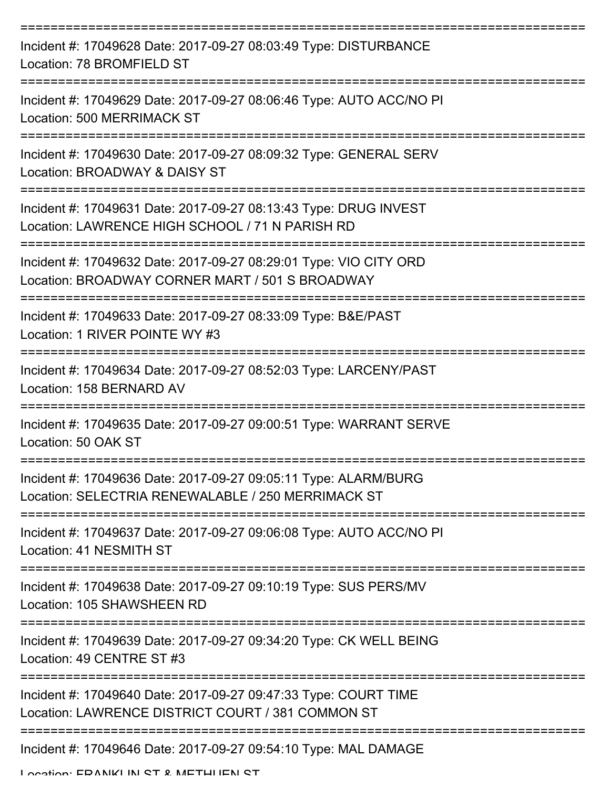| Incident #: 17049628 Date: 2017-09-27 08:03:49 Type: DISTURBANCE<br>Location: 78 BROMFIELD ST                         |
|-----------------------------------------------------------------------------------------------------------------------|
| Incident #: 17049629 Date: 2017-09-27 08:06:46 Type: AUTO ACC/NO PI<br><b>Location: 500 MERRIMACK ST</b>              |
| Incident #: 17049630 Date: 2017-09-27 08:09:32 Type: GENERAL SERV<br>Location: BROADWAY & DAISY ST                    |
| Incident #: 17049631 Date: 2017-09-27 08:13:43 Type: DRUG INVEST<br>Location: LAWRENCE HIGH SCHOOL / 71 N PARISH RD   |
| Incident #: 17049632 Date: 2017-09-27 08:29:01 Type: VIO CITY ORD<br>Location: BROADWAY CORNER MART / 501 S BROADWAY  |
| Incident #: 17049633 Date: 2017-09-27 08:33:09 Type: B&E/PAST<br>Location: 1 RIVER POINTE WY #3                       |
| Incident #: 17049634 Date: 2017-09-27 08:52:03 Type: LARCENY/PAST<br>Location: 158 BERNARD AV<br>=============        |
| Incident #: 17049635 Date: 2017-09-27 09:00:51 Type: WARRANT SERVE<br>Location: 50 OAK ST                             |
| Incident #: 17049636 Date: 2017-09-27 09:05:11 Type: ALARM/BURG<br>Location: SELECTRIA RENEWALABLE / 250 MERRIMACK ST |
| Incident #: 17049637 Date: 2017-09-27 09:06:08 Type: AUTO ACC/NO PI<br>Location: 41 NESMITH ST                        |
| Incident #: 17049638 Date: 2017-09-27 09:10:19 Type: SUS PERS/MV<br>Location: 105 SHAWSHEEN RD                        |
| Incident #: 17049639 Date: 2017-09-27 09:34:20 Type: CK WELL BEING<br>Location: 49 CENTRE ST #3                       |
| Incident #: 17049640 Date: 2017-09-27 09:47:33 Type: COURT TIME<br>Location: LAWRENCE DISTRICT COURT / 381 COMMON ST  |
| Incident #: 17049646 Date: 2017-09-27 09:54:10 Type: MAL DAMAGE                                                       |

Location: EDANIKI IN ST & METHI IEN ST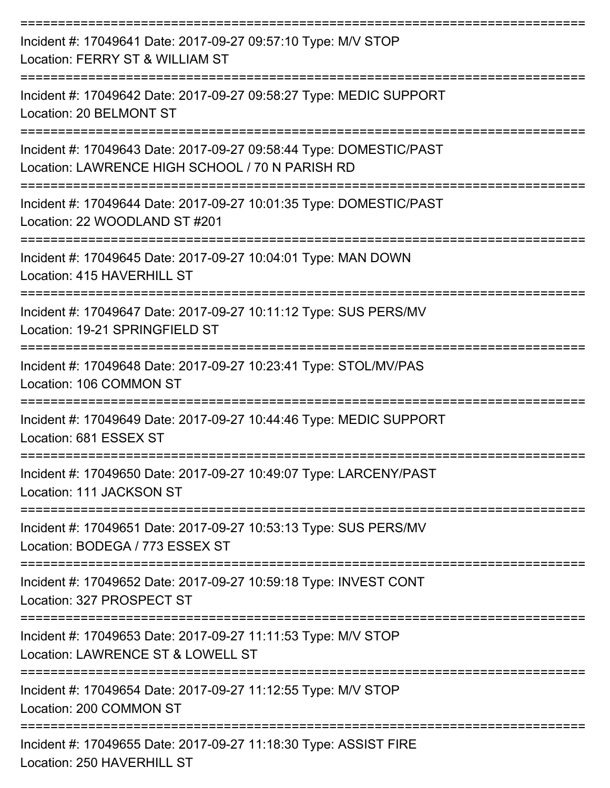| Incident #: 17049641 Date: 2017-09-27 09:57:10 Type: M/V STOP<br>Location: FERRY ST & WILLIAM ST                        |
|-------------------------------------------------------------------------------------------------------------------------|
| Incident #: 17049642 Date: 2017-09-27 09:58:27 Type: MEDIC SUPPORT<br>Location: 20 BELMONT ST                           |
| Incident #: 17049643 Date: 2017-09-27 09:58:44 Type: DOMESTIC/PAST<br>Location: LAWRENCE HIGH SCHOOL / 70 N PARISH RD   |
| Incident #: 17049644 Date: 2017-09-27 10:01:35 Type: DOMESTIC/PAST<br>Location: 22 WOODLAND ST #201                     |
| Incident #: 17049645 Date: 2017-09-27 10:04:01 Type: MAN DOWN<br>Location: 415 HAVERHILL ST                             |
| Incident #: 17049647 Date: 2017-09-27 10:11:12 Type: SUS PERS/MV<br>Location: 19-21 SPRINGFIELD ST                      |
| Incident #: 17049648 Date: 2017-09-27 10:23:41 Type: STOL/MV/PAS<br>Location: 106 COMMON ST                             |
| Incident #: 17049649 Date: 2017-09-27 10:44:46 Type: MEDIC SUPPORT<br>Location: 681 ESSEX ST                            |
| Incident #: 17049650 Date: 2017-09-27 10:49:07 Type: LARCENY/PAST<br>Location: 111 JACKSON ST                           |
| ----------------<br>Incident #: 17049651 Date: 2017-09-27 10:53:13 Type: SUS PERS/MV<br>Location: BODEGA / 773 ESSEX ST |
| Incident #: 17049652 Date: 2017-09-27 10:59:18 Type: INVEST CONT<br>Location: 327 PROSPECT ST                           |
| Incident #: 17049653 Date: 2017-09-27 11:11:53 Type: M/V STOP<br>Location: LAWRENCE ST & LOWELL ST                      |
| Incident #: 17049654 Date: 2017-09-27 11:12:55 Type: M/V STOP<br>Location: 200 COMMON ST                                |
| Incident #: 17049655 Date: 2017-09-27 11:18:30 Type: ASSIST FIRE<br>Location: 250 HAVERHILL ST                          |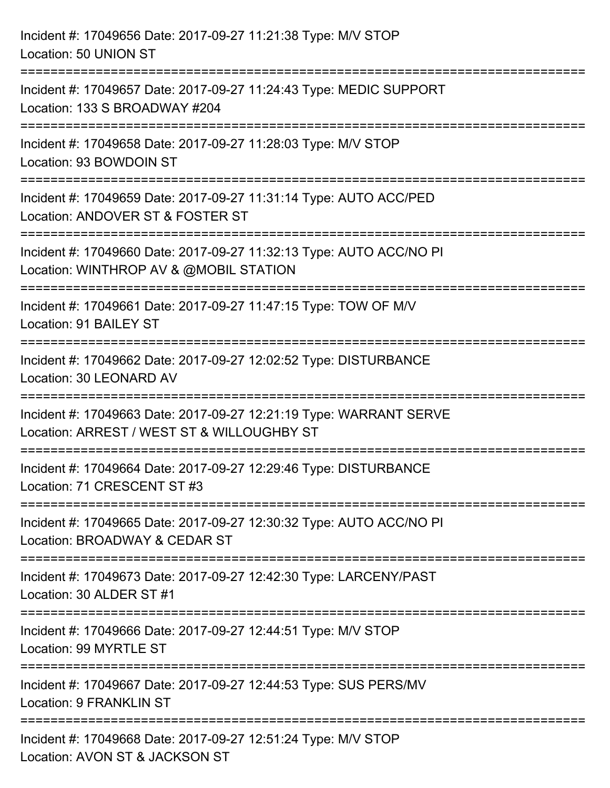| Incident #: 17049656 Date: 2017-09-27 11:21:38 Type: M/V STOP<br>Location: 50 UNION ST                                                      |
|---------------------------------------------------------------------------------------------------------------------------------------------|
| Incident #: 17049657 Date: 2017-09-27 11:24:43 Type: MEDIC SUPPORT<br>Location: 133 S BROADWAY #204                                         |
| Incident #: 17049658 Date: 2017-09-27 11:28:03 Type: M/V STOP<br>Location: 93 BOWDOIN ST<br>----------------------------                    |
| Incident #: 17049659 Date: 2017-09-27 11:31:14 Type: AUTO ACC/PED<br>Location: ANDOVER ST & FOSTER ST                                       |
| Incident #: 17049660 Date: 2017-09-27 11:32:13 Type: AUTO ACC/NO PI<br>Location: WINTHROP AV & @MOBIL STATION<br>========================== |
| Incident #: 17049661 Date: 2017-09-27 11:47:15 Type: TOW OF M/V<br>Location: 91 BAILEY ST                                                   |
| Incident #: 17049662 Date: 2017-09-27 12:02:52 Type: DISTURBANCE<br>Location: 30 LEONARD AV                                                 |
| Incident #: 17049663 Date: 2017-09-27 12:21:19 Type: WARRANT SERVE<br>Location: ARREST / WEST ST & WILLOUGHBY ST                            |
| Incident #: 17049664 Date: 2017-09-27 12:29:46 Type: DISTURBANCE<br>Location: 71 CRESCENT ST #3                                             |
| Incident #: 17049665 Date: 2017-09-27 12:30:32 Type: AUTO ACC/NO PI<br>Location: BROADWAY & CEDAR ST                                        |
| Incident #: 17049673 Date: 2017-09-27 12:42:30 Type: LARCENY/PAST<br>Location: 30 ALDER ST #1                                               |
| Incident #: 17049666 Date: 2017-09-27 12:44:51 Type: M/V STOP<br>Location: 99 MYRTLE ST                                                     |
| Incident #: 17049667 Date: 2017-09-27 12:44:53 Type: SUS PERS/MV<br><b>Location: 9 FRANKLIN ST</b>                                          |
| Incident #: 17049668 Date: 2017-09-27 12:51:24 Type: M/V STOP<br>Location: AVON ST & JACKSON ST                                             |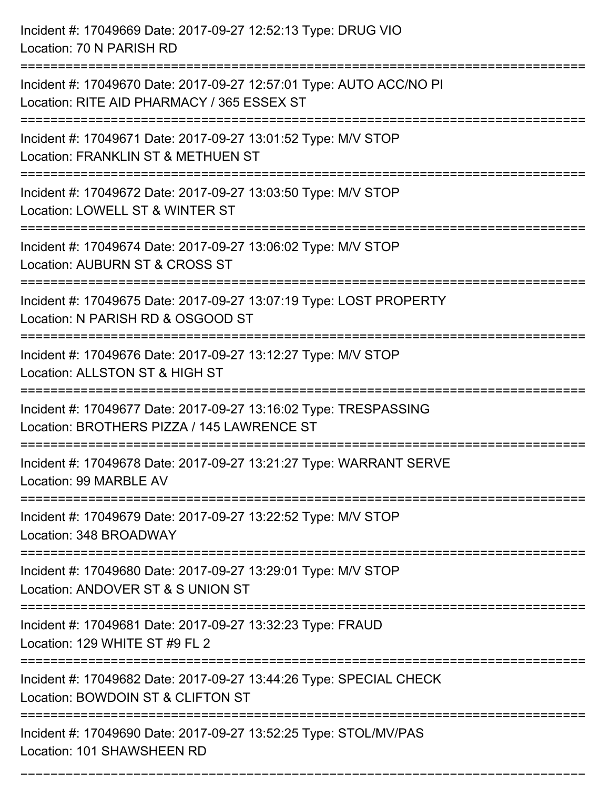Incident #: 17049669 Date: 2017-09-27 12:52:13 Type: DRUG VIO Location: 70 N PARISH RD =========================================================================== Incident #: 17049670 Date: 2017-09-27 12:57:01 Type: AUTO ACC/NO PI Location: RITE AID PHARMACY / 365 ESSEX ST =========================================================================== Incident #: 17049671 Date: 2017-09-27 13:01:52 Type: M/V STOP Location: FRANKLIN ST & METHUEN ST =========================================================================== Incident #: 17049672 Date: 2017-09-27 13:03:50 Type: M/V STOP Location: LOWELL ST & WINTER ST =========================================================================== Incident #: 17049674 Date: 2017-09-27 13:06:02 Type: M/V STOP Location: AUBURN ST & CROSS ST =========================================================================== Incident #: 17049675 Date: 2017-09-27 13:07:19 Type: LOST PROPERTY Location: N PARISH RD & OSGOOD ST =========================================================================== Incident #: 17049676 Date: 2017-09-27 13:12:27 Type: M/V STOP Location: ALLSTON ST & HIGH ST =========================================================================== Incident #: 17049677 Date: 2017-09-27 13:16:02 Type: TRESPASSING Location: BROTHERS PIZZA / 145 LAWRENCE ST =========================================================================== Incident #: 17049678 Date: 2017-09-27 13:21:27 Type: WARRANT SERVE Location: 99 MARBLE AV =========================================================================== Incident #: 17049679 Date: 2017-09-27 13:22:52 Type: M/V STOP Location: 348 BROADWAY =========================================================================== Incident #: 17049680 Date: 2017-09-27 13:29:01 Type: M/V STOP Location: ANDOVER ST & S UNION ST =========================================================================== Incident #: 17049681 Date: 2017-09-27 13:32:23 Type: FRAUD Location: 129 WHITE ST #9 FL 2 =========================================================================== Incident #: 17049682 Date: 2017-09-27 13:44:26 Type: SPECIAL CHECK Location: BOWDOIN ST & CLIFTON ST =========================================================================== Incident #: 17049690 Date: 2017-09-27 13:52:25 Type: STOL/MV/PAS Location: 101 SHAWSHEEN RD

===========================================================================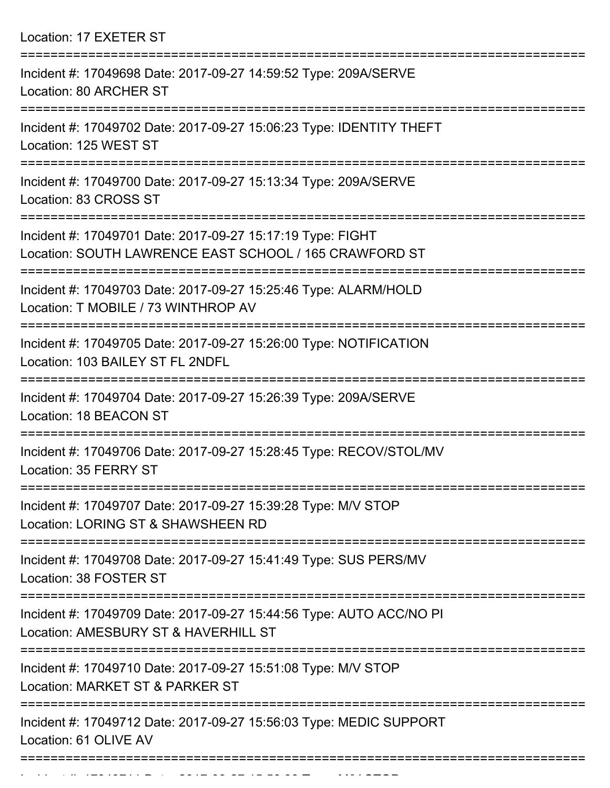Location: 17 EXETER ST

| Incident #: 17049698 Date: 2017-09-27 14:59:52 Type: 209A/SERVE<br>Location: 80 ARCHER ST                            |
|----------------------------------------------------------------------------------------------------------------------|
| Incident #: 17049702 Date: 2017-09-27 15:06:23 Type: IDENTITY THEFT<br>Location: 125 WEST ST                         |
| Incident #: 17049700 Date: 2017-09-27 15:13:34 Type: 209A/SERVE<br>Location: 83 CROSS ST                             |
| Incident #: 17049701 Date: 2017-09-27 15:17:19 Type: FIGHT<br>Location: SOUTH LAWRENCE EAST SCHOOL / 165 CRAWFORD ST |
| Incident #: 17049703 Date: 2017-09-27 15:25:46 Type: ALARM/HOLD<br>Location: T MOBILE / 73 WINTHROP AV               |
| Incident #: 17049705 Date: 2017-09-27 15:26:00 Type: NOTIFICATION<br>Location: 103 BAILEY ST FL 2NDFL                |
| Incident #: 17049704 Date: 2017-09-27 15:26:39 Type: 209A/SERVE<br>Location: 18 BEACON ST                            |
| Incident #: 17049706 Date: 2017-09-27 15:28:45 Type: RECOV/STOL/MV<br>Location: 35 FERRY ST                          |
| Incident #: 17049707 Date: 2017-09-27 15:39:28 Type: M/V STOP<br>Location: LORING ST & SHAWSHEEN RD                  |
| Incident #: 17049708 Date: 2017-09-27 15:41:49 Type: SUS PERS/MV<br>Location: 38 FOSTER ST                           |
| Incident #: 17049709 Date: 2017-09-27 15:44:56 Type: AUTO ACC/NO PI<br>Location: AMESBURY ST & HAVERHILL ST          |
| Incident #: 17049710 Date: 2017-09-27 15:51:08 Type: M/V STOP<br>Location: MARKET ST & PARKER ST                     |
| Incident #: 17049712 Date: 2017-09-27 15:56:03 Type: MEDIC SUPPORT<br>Location: 61 OLIVE AV                          |
|                                                                                                                      |

Incident #: 17049711 Date: 2017 09 27 15:56:33 Type: M/V STOP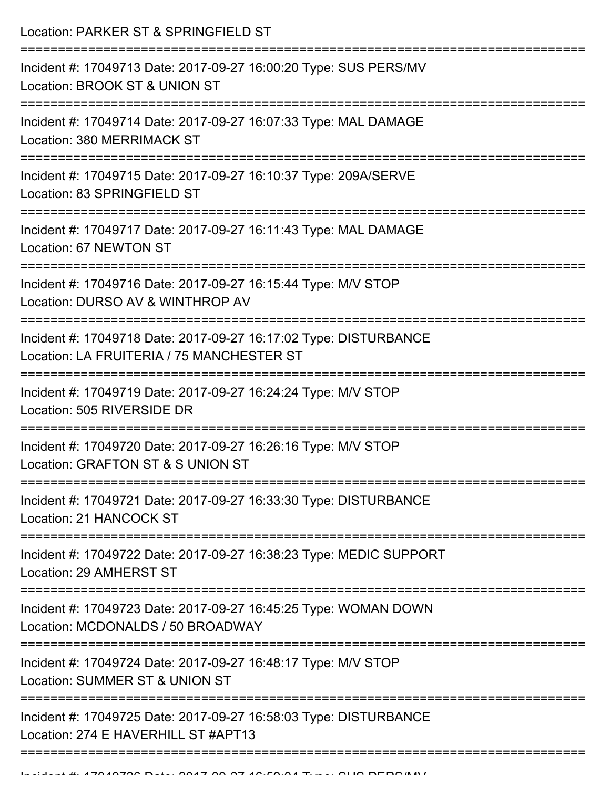Location: PARKER ST & SPRINGFIELD ST

| Incident #: 17049713 Date: 2017-09-27 16:00:20 Type: SUS PERS/MV<br>Location: BROOK ST & UNION ST             |
|---------------------------------------------------------------------------------------------------------------|
| Incident #: 17049714 Date: 2017-09-27 16:07:33 Type: MAL DAMAGE<br>Location: 380 MERRIMACK ST                 |
| Incident #: 17049715 Date: 2017-09-27 16:10:37 Type: 209A/SERVE<br>Location: 83 SPRINGFIELD ST                |
| Incident #: 17049717 Date: 2017-09-27 16:11:43 Type: MAL DAMAGE<br>Location: 67 NEWTON ST                     |
| Incident #: 17049716 Date: 2017-09-27 16:15:44 Type: M/V STOP<br>Location: DURSO AV & WINTHROP AV             |
| Incident #: 17049718 Date: 2017-09-27 16:17:02 Type: DISTURBANCE<br>Location: LA FRUITERIA / 75 MANCHESTER ST |
| Incident #: 17049719 Date: 2017-09-27 16:24:24 Type: M/V STOP<br>Location: 505 RIVERSIDE DR                   |
| Incident #: 17049720 Date: 2017-09-27 16:26:16 Type: M/V STOP<br>Location: GRAFTON ST & S UNION ST            |
| Incident #: 17049721 Date: 2017-09-27 16:33:30 Type: DISTURBANCE<br>Location: 21 HANCOCK ST                   |
| Incident #: 17049722 Date: 2017-09-27 16:38:23 Type: MEDIC SUPPORT<br>Location: 29 AMHERST ST                 |
| Incident #: 17049723 Date: 2017-09-27 16:45:25 Type: WOMAN DOWN<br>Location: MCDONALDS / 50 BROADWAY          |
| Incident #: 17049724 Date: 2017-09-27 16:48:17 Type: M/V STOP<br>Location: SUMMER ST & UNION ST               |
| Incident #: 17049725 Date: 2017-09-27 16:58:03 Type: DISTURBANCE<br>Location: 274 E HAVERHILL ST #APT13       |
|                                                                                                               |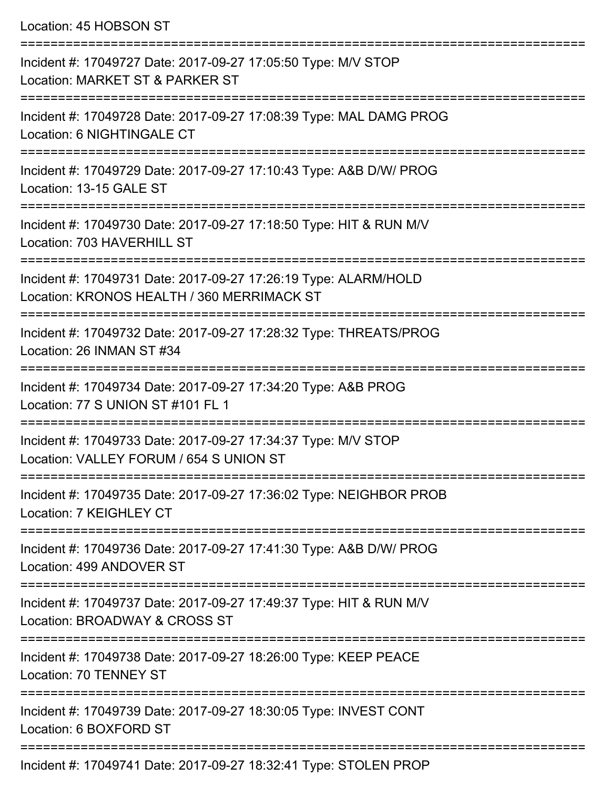Location: 45 HOBSON ST

=========================================================================== Incident #: 17049727 Date: 2017-09-27 17:05:50 Type: M/V STOP Location: MARKET ST & PARKER ST =========================================================================== Incident #: 17049728 Date: 2017-09-27 17:08:39 Type: MAL DAMG PROG Location: 6 NIGHTINGALE CT =========================================================================== Incident #: 17049729 Date: 2017-09-27 17:10:43 Type: A&B D/W/ PROG Location: 13-15 GALE ST =========================================================================== Incident #: 17049730 Date: 2017-09-27 17:18:50 Type: HIT & RUN M/V Location: 703 HAVERHILL ST =========================================================================== Incident #: 17049731 Date: 2017-09-27 17:26:19 Type: ALARM/HOLD Location: KRONOS HEALTH / 360 MERRIMACK ST =========================================================================== Incident #: 17049732 Date: 2017-09-27 17:28:32 Type: THREATS/PROG Location: 26 INMAN ST #34 =========================================================================== Incident #: 17049734 Date: 2017-09-27 17:34:20 Type: A&B PROG Location: 77 S UNION ST #101 FL 1 =========================================================================== Incident #: 17049733 Date: 2017-09-27 17:34:37 Type: M/V STOP Location: VALLEY FORUM / 654 S UNION ST =========================================================================== Incident #: 17049735 Date: 2017-09-27 17:36:02 Type: NEIGHBOR PROB Location: 7 KFIGHLFY CT =========================================================================== Incident #: 17049736 Date: 2017-09-27 17:41:30 Type: A&B D/W/ PROG Location: 499 ANDOVER ST =========================================================================== Incident #: 17049737 Date: 2017-09-27 17:49:37 Type: HIT & RUN M/V Location: BROADWAY & CROSS ST =========================================================================== Incident #: 17049738 Date: 2017-09-27 18:26:00 Type: KEEP PEACE Location: 70 TENNEY ST =========================================================================== Incident #: 17049739 Date: 2017-09-27 18:30:05 Type: INVEST CONT Location: 6 BOXFORD ST =========================================================================== Incident #: 17049741 Date: 2017-09-27 18:32:41 Type: STOLEN PROP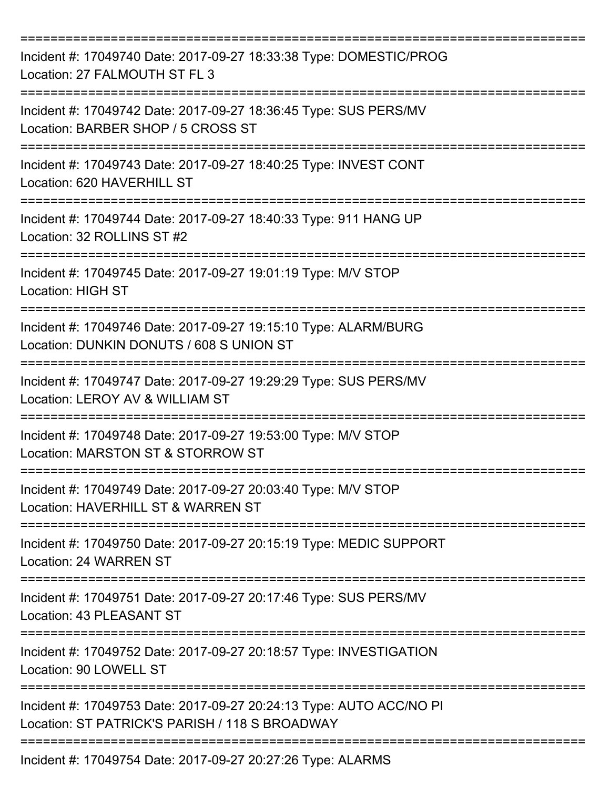| Incident #: 17049740 Date: 2017-09-27 18:33:38 Type: DOMESTIC/PROG<br>Location: 27 FALMOUTH ST FL 3                   |
|-----------------------------------------------------------------------------------------------------------------------|
| Incident #: 17049742 Date: 2017-09-27 18:36:45 Type: SUS PERS/MV<br>Location: BARBER SHOP / 5 CROSS ST                |
| Incident #: 17049743 Date: 2017-09-27 18:40:25 Type: INVEST CONT<br>Location: 620 HAVERHILL ST                        |
| Incident #: 17049744 Date: 2017-09-27 18:40:33 Type: 911 HANG UP<br>Location: 32 ROLLINS ST #2                        |
| Incident #: 17049745 Date: 2017-09-27 19:01:19 Type: M/V STOP<br><b>Location: HIGH ST</b>                             |
| Incident #: 17049746 Date: 2017-09-27 19:15:10 Type: ALARM/BURG<br>Location: DUNKIN DONUTS / 608 S UNION ST           |
| Incident #: 17049747 Date: 2017-09-27 19:29:29 Type: SUS PERS/MV<br>Location: LEROY AV & WILLIAM ST                   |
| Incident #: 17049748 Date: 2017-09-27 19:53:00 Type: M/V STOP<br>Location: MARSTON ST & STORROW ST                    |
| Incident #: 17049749 Date: 2017-09-27 20:03:40 Type: M/V STOP<br>Location: HAVERHILL ST & WARREN ST                   |
| Incident #: 17049750 Date: 2017-09-27 20:15:19 Type: MEDIC SUPPORT<br>Location: 24 WARREN ST                          |
| Incident #: 17049751 Date: 2017-09-27 20:17:46 Type: SUS PERS/MV<br>Location: 43 PLEASANT ST<br>====================  |
| Incident #: 17049752 Date: 2017-09-27 20:18:57 Type: INVESTIGATION<br>Location: 90 LOWELL ST                          |
| Incident #: 17049753 Date: 2017-09-27 20:24:13 Type: AUTO ACC/NO PI<br>Location: ST PATRICK'S PARISH / 118 S BROADWAY |
| Incident #: 17049754 Date: 2017-09-27 20:27:26 Type: ALARMS                                                           |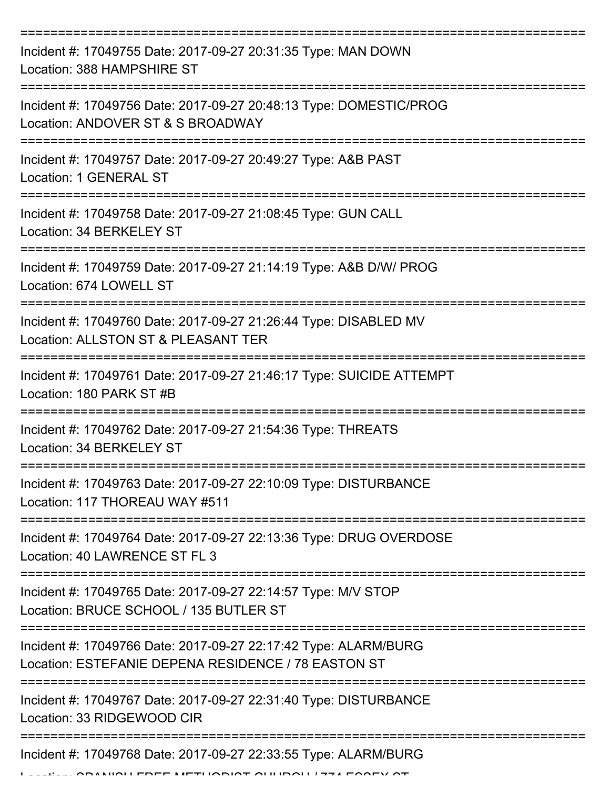| Incident #: 17049755 Date: 2017-09-27 20:31:35 Type: MAN DOWN<br>Location: 388 HAMPSHIRE ST                            |
|------------------------------------------------------------------------------------------------------------------------|
| Incident #: 17049756 Date: 2017-09-27 20:48:13 Type: DOMESTIC/PROG<br>Location: ANDOVER ST & S BROADWAY                |
| Incident #: 17049757 Date: 2017-09-27 20:49:27 Type: A&B PAST<br>Location: 1 GENERAL ST                                |
| Incident #: 17049758 Date: 2017-09-27 21:08:45 Type: GUN CALL<br>Location: 34 BERKELEY ST                              |
| Incident #: 17049759 Date: 2017-09-27 21:14:19 Type: A&B D/W/ PROG<br>Location: 674 LOWELL ST                          |
| Incident #: 17049760 Date: 2017-09-27 21:26:44 Type: DISABLED MV<br>Location: ALLSTON ST & PLEASANT TER                |
| Incident #: 17049761 Date: 2017-09-27 21:46:17 Type: SUICIDE ATTEMPT<br>Location: 180 PARK ST #B                       |
| Incident #: 17049762 Date: 2017-09-27 21:54:36 Type: THREATS<br>Location: 34 BERKELEY ST                               |
| Incident #: 17049763 Date: 2017-09-27 22:10:09 Type: DISTURBANCE<br>Location: 117 THOREAU WAY #511                     |
| Incident #: 17049764 Date: 2017-09-27 22:13:36 Type: DRUG OVERDOSE<br>Location: 40 LAWRENCE ST FL 3                    |
| Incident #: 17049765 Date: 2017-09-27 22:14:57 Type: M/V STOP<br>Location: BRUCE SCHOOL / 135 BUTLER ST                |
| Incident #: 17049766 Date: 2017-09-27 22:17:42 Type: ALARM/BURG<br>Location: ESTEFANIE DEPENA RESIDENCE / 78 EASTON ST |
| Incident #: 17049767 Date: 2017-09-27 22:31:40 Type: DISTURBANCE<br>Location: 33 RIDGEWOOD CIR                         |
| Incident #: 17049768 Date: 2017-09-27 22:33:55 Type: ALARM/BURG<br>$\blacksquare$                                      |